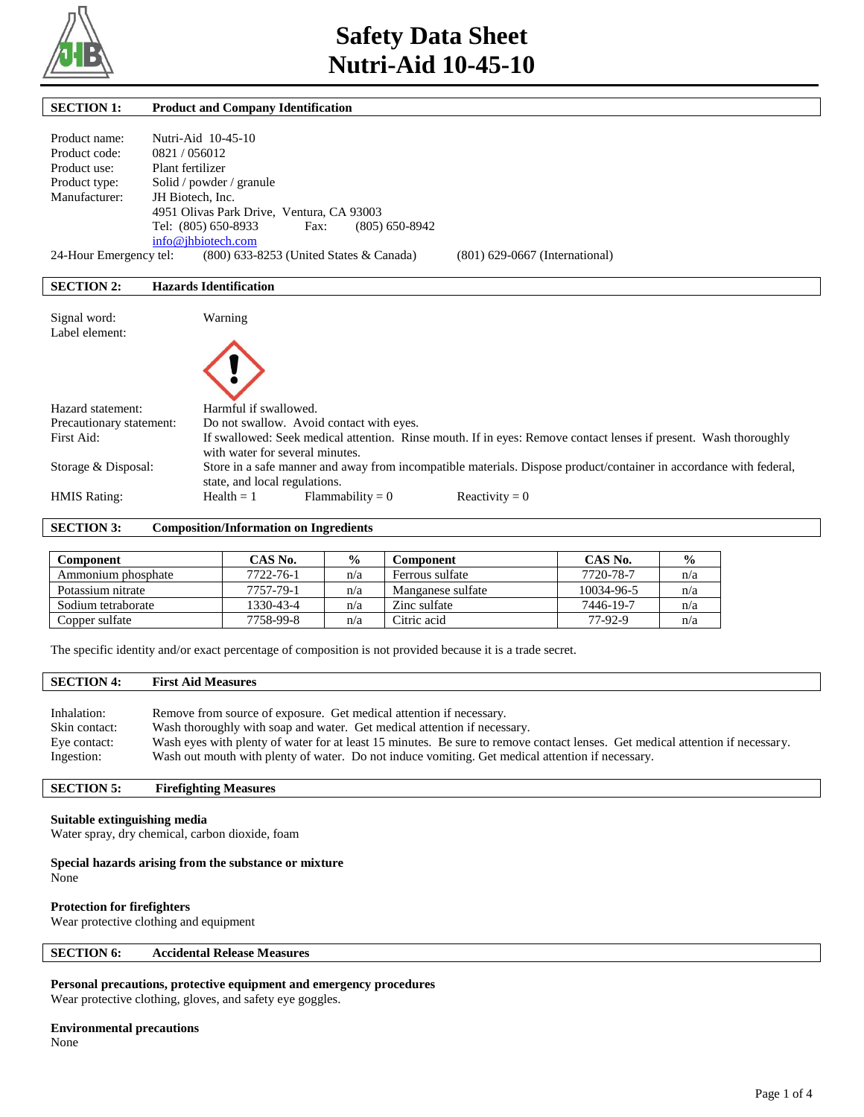

| <b>SECTION 1:</b>                              | <b>Product and Company Identification</b>                                                                                                                                                       |
|------------------------------------------------|-------------------------------------------------------------------------------------------------------------------------------------------------------------------------------------------------|
| Product name:<br>Product code:<br>Product use: | Nutri-Aid 10-45-10<br>0821/056012<br>Plant fertilizer                                                                                                                                           |
| Product type:                                  | Solid / powder / granule                                                                                                                                                                        |
| Manufacturer:                                  | JH Biotech, Inc.<br>4951 Olivas Park Drive, Ventura, CA 93003<br>Tel: (805) 650-8933<br>$(805) 650 - 8942$<br>Fax:<br>info@ihbiotech.com                                                        |
| 24-Hour Emergency tel:                         | (800) 633-8253 (United States & Canada)<br>$(801)$ 629-0667 (International)                                                                                                                     |
| <b>SECTION 2:</b>                              | <b>Hazards Identification</b>                                                                                                                                                                   |
| Signal word:<br>Label element:                 | Warning                                                                                                                                                                                         |
| Hazard statement:                              | Harmful if swallowed.                                                                                                                                                                           |
| Precautionary statement:<br>First Aid:         | Do not swallow. Avoid contact with eyes.<br>If swallowed: Seek medical attention. Rinse mouth. If in eyes: Remove contact lenses if present. Wash thoroughly<br>with water for several minutes. |
| Storage & Disposal:                            | Store in a safe manner and away from incompatible materials. Dispose product/container in accordance with federal,<br>state, and local regulations.                                             |
| <b>HMIS Rating:</b>                            | $Health = 1$<br>$Flammability = 0$<br>Reactivity = $0$                                                                                                                                          |

**SECTION 3: Composition/Information on Ingredients** 

| Component          | CAS No.   | $\frac{6}{9}$ | Component         | CAS No.    | $\frac{0}{0}$ |
|--------------------|-----------|---------------|-------------------|------------|---------------|
| Ammonium phosphate | 7722-76-1 | n/a           | Ferrous sulfate   | 7720-78-7  | n/a           |
| Potassium nitrate  | 7757-79-1 | n/a           | Manganese sulfate | 10034-96-5 | n/a           |
| Sodium tetraborate | 1330-43-4 | n/a           | Zinc sulfate      | 7446-19-7  | n/a           |
| Copper sulfate     | 7758-99-8 | n/a           | Citric acid       | 77-92-9    | n/a           |

The specific identity and/or exact percentage of composition is not provided because it is a trade secret.

## **SECTION 4: First Aid Measures**

| Inhalation:   | Remove from source of exposure. Get medical attention if necessary.                                                           |
|---------------|-------------------------------------------------------------------------------------------------------------------------------|
| Skin contact: | Wash thoroughly with soap and water. Get medical attention if necessary.                                                      |
| Eye contact:  | Wash eyes with plenty of water for at least 15 minutes. Be sure to remove contact lenses. Get medical attention if necessary. |
| Ingestion:    | Wash out mouth with plenty of water. Do not induce vomiting. Get medical attention if necessary.                              |

## **SECTION 5: Firefighting Measures**

#### **Suitable extinguishing media**

Water spray, dry chemical, carbon dioxide, foam

#### **Special hazards arising from the substance or mixture**

None

## **Protection for firefighters**

Wear protective clothing and equipment

## **SECTION 6: Accidental Release Measures**

## **Personal precautions, protective equipment and emergency procedures**

Wear protective clothing, gloves, and safety eye goggles.

## **Environmental precautions**

None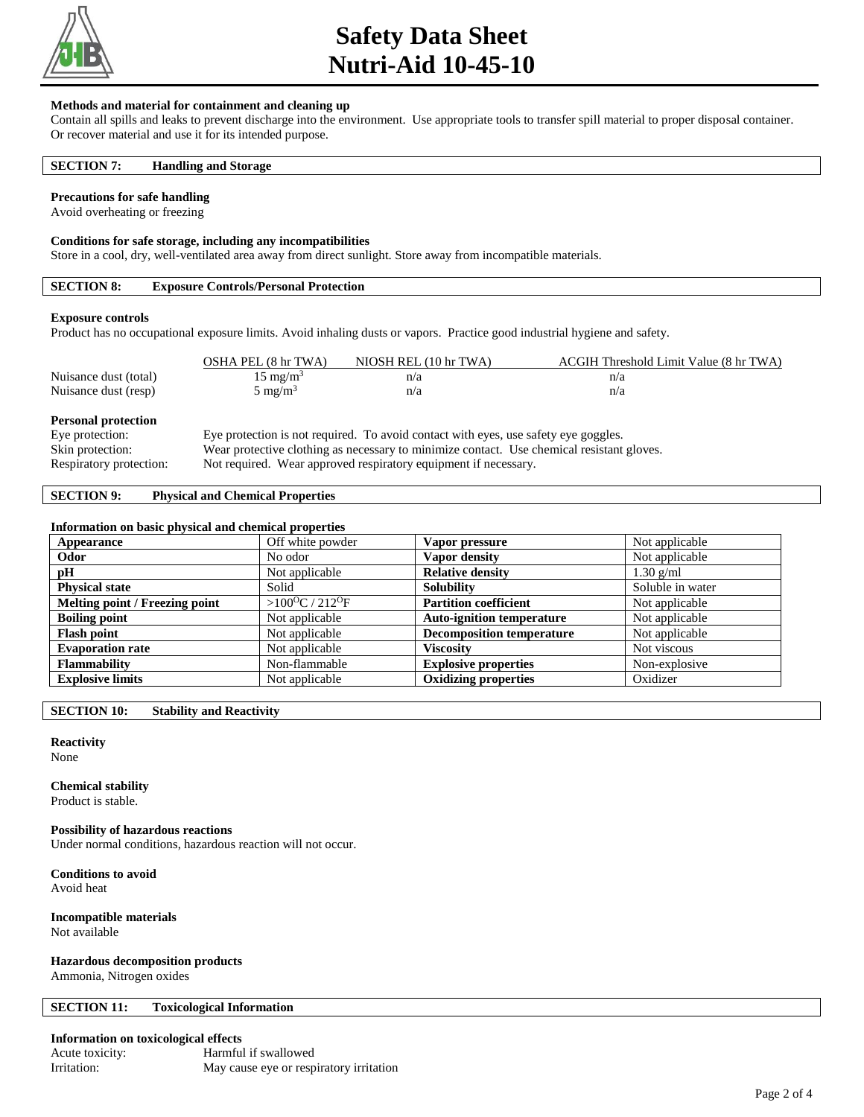

## **Safety Data Sheet Nutri-Aid 10-45-10**

#### **Methods and material for containment and cleaning up**

Contain all spills and leaks to prevent discharge into the environment. Use appropriate tools to transfer spill material to proper disposal container. Or recover material and use it for its intended purpose.

#### **SECTION 7: Handling and Storage**

#### **Precautions for safe handling**

Avoid overheating or freezing

#### **Conditions for safe storage, including any incompatibilities**

Store in a cool, dry, well-ventilated area away from direct sunlight. Store away from incompatible materials.

## **SECTION 8: Exposure Controls/Personal Protection**

#### **Exposure controls**

Product has no occupational exposure limits. Avoid inhaling dusts or vapors. Practice good industrial hygiene and safety.

|                                               | OSHA PEL (8 hr TWA) | NIOSH REL (10 hr TWA)                                                               | ACGIH Threshold Limit Value (8 hr TWA) |
|-----------------------------------------------|---------------------|-------------------------------------------------------------------------------------|----------------------------------------|
| Nuisance dust (total)                         | $15 \text{ mg/m}^3$ | n/a                                                                                 | n/a                                    |
| Nuisance dust (resp)                          | $5 \text{ mg/m}^3$  | n/a                                                                                 | n/a                                    |
| <b>Personal protection</b><br>Eye protection: |                     | Eye protection is not required. To avoid contact with eyes, use safety eye goggles. |                                        |

Skin protection: Wear protective clothing as necessary to minimize contact. Use chemical resistant gloves.

Respiratory protection: Not required. Wear approved respiratory equipment if necessary.

## **SECTION 9: Physical and Chemical Properties**

#### **Information on basic physical and chemical properties**

| Appearance                     | Off white powder                       | Vapor pressure                   | Not applicable   |
|--------------------------------|----------------------------------------|----------------------------------|------------------|
| Odor                           | No odor                                | Vapor density                    | Not applicable   |
| pH                             | Not applicable                         | <b>Relative density</b>          | $1.30$ g/ml      |
| <b>Physical state</b>          | Solid                                  | <b>Solubility</b>                | Soluble in water |
| Melting point / Freezing point | > $100^{\circ}$ C / 212 <sup>o</sup> F | <b>Partition coefficient</b>     | Not applicable   |
| <b>Boiling point</b>           | Not applicable                         | <b>Auto-ignition temperature</b> | Not applicable   |
| <b>Flash point</b>             | Not applicable                         | <b>Decomposition temperature</b> | Not applicable   |
| <b>Evaporation rate</b>        | Not applicable                         | <b>Viscosity</b>                 | Not viscous      |
| <b>Flammability</b>            | Non-flammable                          | <b>Explosive properties</b>      | Non-explosive    |
| <b>Explosive limits</b>        | Not applicable                         | <b>Oxidizing properties</b>      | Oxidizer         |

**SECTION 10: Stability and Reactivity** 

## **Reactivity**

None

#### **Chemical stability**

Product is stable.

#### **Possibility of hazardous reactions**

Under normal conditions, hazardous reaction will not occur.

**Conditions to avoid**

Avoid heat

#### **Incompatible materials** Not available

## **Hazardous decomposition products**

Ammonia, Nitrogen oxides

#### **SECTION 11: Toxicological Information**

#### **Information on toxicological effects**

| Acute toxicity: | Harmful if swallowed                    |
|-----------------|-----------------------------------------|
| Irritation:     | May cause eye or respiratory irritation |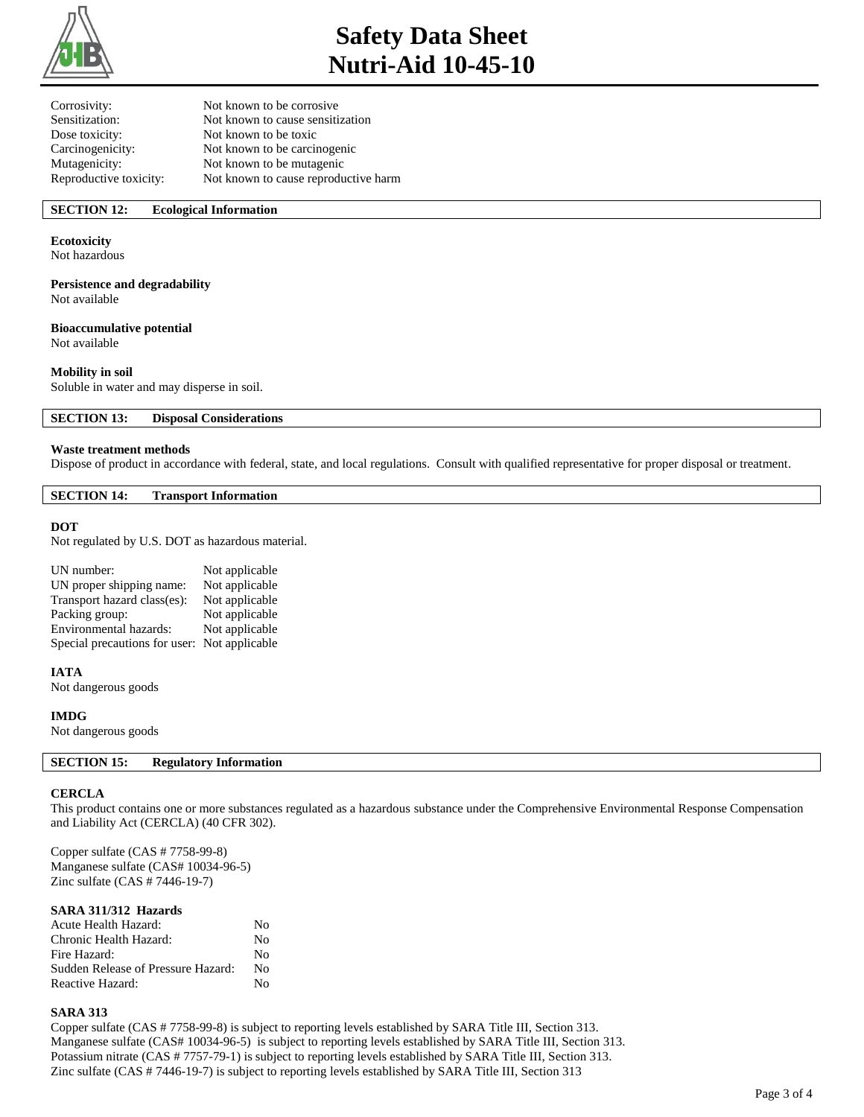

# **Safety Data Sheet Nutri-Aid 10-45-10**

| Not known to be corrosive            |
|--------------------------------------|
| Not known to cause sensitization     |
| Not known to be toxic                |
| Not known to be carcinogenic         |
| Not known to be mutagenic            |
| Not known to cause reproductive harm |
|                                      |

## **SECTION 12: Ecological Information**

#### **Ecotoxicity**

Not hazardous

#### **Persistence and degradability**

Not available

## **Bioaccumulative potential**

Not available

## **Mobility in soil**

Soluble in water and may disperse in soil.

**SECTION 13: Disposal Considerations** 

#### **Waste treatment methods**

Dispose of product in accordance with federal, state, and local regulations. Consult with qualified representative for proper disposal or treatment.

#### **SECTION 14: Transport Information**

#### **DOT**

Not regulated by U.S. DOT as hazardous material.

| UN number:                                   | Not applicable |
|----------------------------------------------|----------------|
| UN proper shipping name:                     | Not applicable |
| Transport hazard class(es):                  | Not applicable |
| Packing group:                               | Not applicable |
| Environmental hazards:                       | Not applicable |
| Special precautions for user: Not applicable |                |

#### **IATA**

Not dangerous goods

#### **IMDG**

Not dangerous goods

#### **SECTION 15: Regulatory Information**

#### **CERCLA**

This product contains one or more substances regulated as a hazardous substance under the Comprehensive Environmental Response Compensation and Liability Act (CERCLA) (40 CFR 302).

Copper sulfate (CAS # 7758-99-8) Manganese sulfate (CAS# 10034-96-5) Zinc sulfate (CAS # 7446-19-7)

#### **SARA 311/312 Hazards**

| <b>Acute Health Hazard:</b>        | Nο           |
|------------------------------------|--------------|
| Chronic Health Hazard:             | No           |
| Fire Hazard:                       | $N_{\Omega}$ |
| Sudden Release of Pressure Hazard: | Nο           |
| Reactive Hazard:                   | N٥           |

#### **SARA 313**

Copper sulfate (CAS # 7758-99-8) is subject to reporting levels established by SARA Title III, Section 313. Manganese sulfate (CAS# 10034-96-5) is subject to reporting levels established by SARA Title III, Section 313. Potassium nitrate (CAS # 7757-79-1) is subject to reporting levels established by SARA Title III, Section 313. Zinc sulfate (CAS # 7446-19-7) is subject to reporting levels established by SARA Title III, Section 313